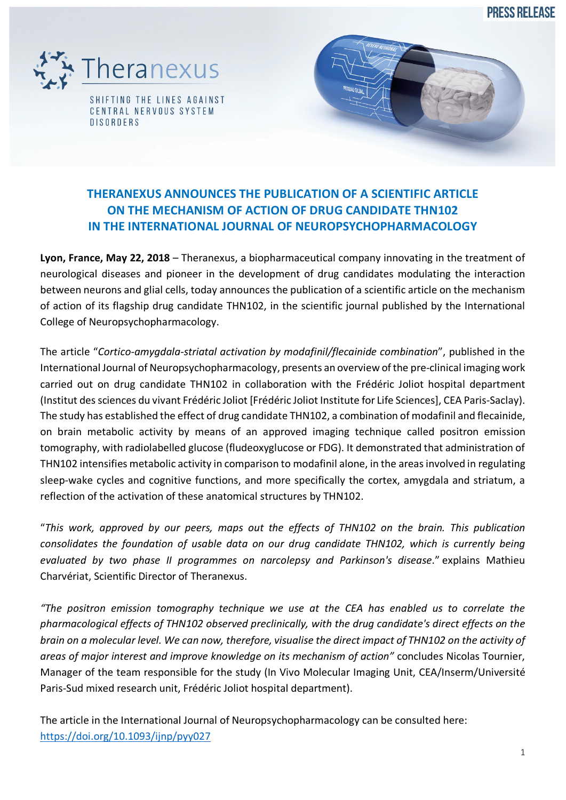**PRESS RELEASE** 



# **THERANEXUS ANNOUNCES THE PUBLICATION OF A SCIENTIFIC ARTICLE ON THE MECHANISM OF ACTION OF DRUG CANDIDATE THN102 IN THE INTERNATIONAL JOURNAL OF NEUROPSYCHOPHARMACOLOGY**

**Lyon, France, May 22, 2018** – Theranexus, a biopharmaceutical company innovating in the treatment of neurological diseases and pioneer in the development of drug candidates modulating the interaction between neurons and glial cells, today announces the publication of a scientific article on the mechanism of action of its flagship drug candidate THN102, in the scientific journal published by the International College of Neuropsychopharmacology.

The article "*Cortico-amygdala-striatal activation by modafinil/flecainide combination*", published in the International Journal of Neuropsychopharmacology, presents an overview of the pre-clinical imaging work carried out on drug candidate THN102 in collaboration with the Frédéric Joliot hospital department (Institut des sciences du vivant Frédéric Joliot [Frédéric Joliot Institute for Life Sciences], CEA Paris-Saclay). The study has established the effect of drug candidate THN102, a combination of modafinil and flecainide, on brain metabolic activity by means of an approved imaging technique called positron emission tomography, with radiolabelled glucose (fludeoxyglucose or FDG). It demonstrated that administration of THN102 intensifies metabolic activity in comparison to modafinil alone, in the areas involved in regulating sleep-wake cycles and cognitive functions, and more specifically the cortex, amygdala and striatum, a reflection of the activation of these anatomical structures by THN102.

"*This work, approved by our peers, maps out the effects of THN102 on the brain. This publication consolidates the foundation of usable data on our drug candidate THN102, which is currently being evaluated by two phase II programmes on narcolepsy and Parkinson's disease*." explains Mathieu Charvériat, Scientific Director of Theranexus.

*"The positron emission tomography technique we use at the CEA has enabled us to correlate the pharmacological effects of THN102 observed preclinically, with the drug candidate's direct effects on the brain on a molecular level. We can now, therefore, visualise the direct impact of THN102 on the activity of areas of major interest and improve knowledge on its mechanism of action"* concludes Nicolas Tournier, Manager of the team responsible for the study (In Vivo Molecular Imaging Unit, CEA/Inserm/Université Paris-Sud mixed research unit, Frédéric Joliot hospital department).

The article in the International Journal of Neuropsychopharmacology can be consulted here: https://doi.org/10.1093/ijnp/pyy027